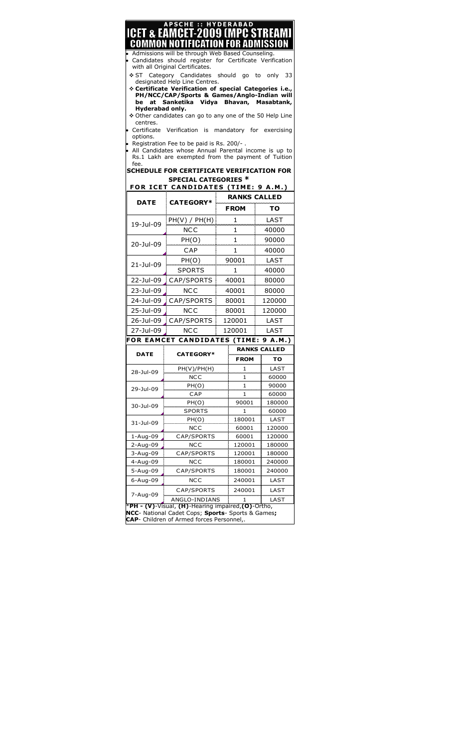| be<br>Hyderabad only.<br>centres.<br>options. | <b>PSCHE :: HYDERABAD</b><br><b>ICET &amp; EÂMČET-2009 (MPC STREAMI</b><br>COMMON NOTIFICATION FOR ADMISSION<br>Admissions will be through Web Based Counseling.<br>Candidates should register for Certificate Verification<br>with all Original Certificates.<br>❖ ST Category Candidates should go to only<br>designated Help Line Centres.<br>* Certificate Verification of special Categories i.e.,<br>PH/NCC/CAP/Sports & Games/Anglo-Indian will<br>at Sanketika Vidya Bhavan, Masabtank,<br>❖ Other candidates can go to any one of the 50 Help Line<br>Certificate Verification is mandatory for exercising<br>Registration Fee to be paid is Rs. 200/-.<br>All Candidates whose Annual Parental income is up to |              |                     | -33                 |  |
|-----------------------------------------------|--------------------------------------------------------------------------------------------------------------------------------------------------------------------------------------------------------------------------------------------------------------------------------------------------------------------------------------------------------------------------------------------------------------------------------------------------------------------------------------------------------------------------------------------------------------------------------------------------------------------------------------------------------------------------------------------------------------------------|--------------|---------------------|---------------------|--|
| fee.                                          | Rs.1 Lakh are exempted from the payment of Tuition<br><b>SCHEDULE FOR CERTIFICATE VERIFICATION FOR</b><br><b>SPECIAL CATEGORIES *</b><br>FOR ICET CANDIDATES (TIME: 9 A.M.)                                                                                                                                                                                                                                                                                                                                                                                                                                                                                                                                              |              |                     |                     |  |
| <b>DATE</b>                                   | <b>CATEGORY*</b>                                                                                                                                                                                                                                                                                                                                                                                                                                                                                                                                                                                                                                                                                                         |              | <b>RANKS CALLED</b> |                     |  |
|                                               |                                                                                                                                                                                                                                                                                                                                                                                                                                                                                                                                                                                                                                                                                                                          |              | <b>FROM</b>         | то                  |  |
| 19-Jul-09                                     | PH(V) / PH(H)                                                                                                                                                                                                                                                                                                                                                                                                                                                                                                                                                                                                                                                                                                            |              | 1                   | LAST                |  |
|                                               | NCC                                                                                                                                                                                                                                                                                                                                                                                                                                                                                                                                                                                                                                                                                                                      | 1            |                     | 40000               |  |
| 20-Jul-09                                     | PH(O)                                                                                                                                                                                                                                                                                                                                                                                                                                                                                                                                                                                                                                                                                                                    | $\mathbf{1}$ |                     | 90000               |  |
|                                               | CAP                                                                                                                                                                                                                                                                                                                                                                                                                                                                                                                                                                                                                                                                                                                      | 1            |                     | 40000               |  |
|                                               | PH(O)                                                                                                                                                                                                                                                                                                                                                                                                                                                                                                                                                                                                                                                                                                                    | 90001        |                     | LAST                |  |
| 21-Jul-09                                     | SPORTS                                                                                                                                                                                                                                                                                                                                                                                                                                                                                                                                                                                                                                                                                                                   | 1            |                     | 40000               |  |
| 22-Jul-09                                     | , CAP/SPORTS                                                                                                                                                                                                                                                                                                                                                                                                                                                                                                                                                                                                                                                                                                             | 40001        |                     | 80000               |  |
| 23-Jul-09                                     | <b>NCC</b>                                                                                                                                                                                                                                                                                                                                                                                                                                                                                                                                                                                                                                                                                                               | 40001        |                     | 80000               |  |
| 24-Jul-09                                     | CAP/SPORTS                                                                                                                                                                                                                                                                                                                                                                                                                                                                                                                                                                                                                                                                                                               | 80001        |                     | 120000              |  |
| 25-1ul-09                                     | NCC.                                                                                                                                                                                                                                                                                                                                                                                                                                                                                                                                                                                                                                                                                                                     | 80001        |                     | 120000              |  |
|                                               | 26-Jul-09 _ CAP/SPORTS                                                                                                                                                                                                                                                                                                                                                                                                                                                                                                                                                                                                                                                                                                   | 120001       |                     | LAST                |  |
| 27-Jul-09                                     | NCC                                                                                                                                                                                                                                                                                                                                                                                                                                                                                                                                                                                                                                                                                                                      | 120001       |                     | LAST                |  |
|                                               | FOR EAMCET CANDIDATES (TIME: 9 A.M.)                                                                                                                                                                                                                                                                                                                                                                                                                                                                                                                                                                                                                                                                                     |              |                     |                     |  |
|                                               | <b>CATEGORY*</b>                                                                                                                                                                                                                                                                                                                                                                                                                                                                                                                                                                                                                                                                                                         |              |                     | <b>RANKS CALLED</b> |  |
| DATE                                          |                                                                                                                                                                                                                                                                                                                                                                                                                                                                                                                                                                                                                                                                                                                          |              | <b>FROM</b>         | то                  |  |
|                                               | PH(V)/PH(H)                                                                                                                                                                                                                                                                                                                                                                                                                                                                                                                                                                                                                                                                                                              |              | 1                   | LAST                |  |
| 28-Jul-09                                     | <b>NCC</b>                                                                                                                                                                                                                                                                                                                                                                                                                                                                                                                                                                                                                                                                                                               |              | 1                   | 60000               |  |
|                                               | PH(O)                                                                                                                                                                                                                                                                                                                                                                                                                                                                                                                                                                                                                                                                                                                    |              | 1                   | 90000               |  |
| 29-Jul-09                                     | CAP                                                                                                                                                                                                                                                                                                                                                                                                                                                                                                                                                                                                                                                                                                                      |              | 1                   | 60000               |  |
|                                               |                                                                                                                                                                                                                                                                                                                                                                                                                                                                                                                                                                                                                                                                                                                          |              |                     |                     |  |
|                                               | PH(O)                                                                                                                                                                                                                                                                                                                                                                                                                                                                                                                                                                                                                                                                                                                    |              | 90001               | 180000              |  |
| 30-Jul-09                                     | SPORTS                                                                                                                                                                                                                                                                                                                                                                                                                                                                                                                                                                                                                                                                                                                   |              | 1                   | 60000               |  |
| 31-Jul-09                                     | PH(O)                                                                                                                                                                                                                                                                                                                                                                                                                                                                                                                                                                                                                                                                                                                    |              | 180001              | LAST                |  |
|                                               | NCC                                                                                                                                                                                                                                                                                                                                                                                                                                                                                                                                                                                                                                                                                                                      |              | 60001               | 120000              |  |
| $1 - Aug-09$                                  | CAP/SPORTS                                                                                                                                                                                                                                                                                                                                                                                                                                                                                                                                                                                                                                                                                                               |              | 60001               | 120000              |  |
| 2-Aug-09                                      | <b>NCC</b>                                                                                                                                                                                                                                                                                                                                                                                                                                                                                                                                                                                                                                                                                                               |              | 120001              | 180000              |  |
| 3-Aug-09                                      | CAP/SPORTS                                                                                                                                                                                                                                                                                                                                                                                                                                                                                                                                                                                                                                                                                                               |              | 120001              | 180000              |  |
| 4-Aug-09                                      | NCC                                                                                                                                                                                                                                                                                                                                                                                                                                                                                                                                                                                                                                                                                                                      |              | 180001              | 240000              |  |
| 5-Aug-09                                      | CAP/SPORTS                                                                                                                                                                                                                                                                                                                                                                                                                                                                                                                                                                                                                                                                                                               |              | 180001              | 240000              |  |
| 6-Aug-09                                      | NCC                                                                                                                                                                                                                                                                                                                                                                                                                                                                                                                                                                                                                                                                                                                      |              | 240001              | LAST                |  |
| 7-Aug-09                                      | CAP/SPORTS<br>ANGLO-INDIANS                                                                                                                                                                                                                                                                                                                                                                                                                                                                                                                                                                                                                                                                                              |              | 240001<br>1         | LAST<br>LAST        |  |